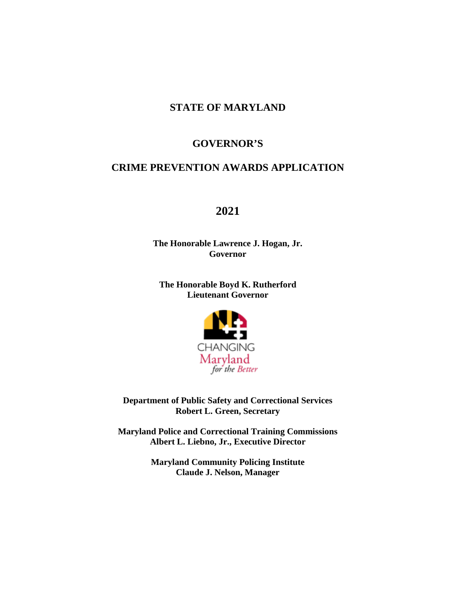### **STATE OF MARYLAND**

#### **GOVERNOR'S**

### **CRIME PREVENTION AWARDS APPLICATION**

### **2021**

**The Honorable Lawrence J. Hogan, Jr. Governor**

**The Honorable Boyd K. Rutherford Lieutenant Governor**



**Department of Public Safety and Correctional Services Robert L. Green, Secretary**

**Maryland Police and Correctional Training Commissions Albert L. Liebno, Jr., Executive Director**

> **Maryland Community Policing Institute Claude J. Nelson, Manager**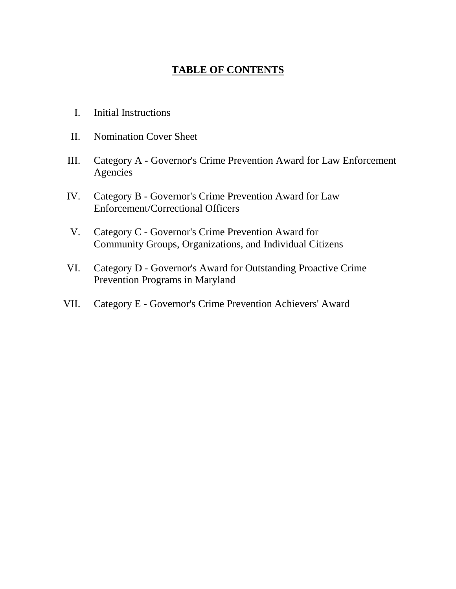# **TABLE OF CONTENTS**

- I. Initial Instructions
- II. Nomination Cover Sheet
- III. Category A Governor's Crime Prevention Award for Law Enforcement Agencies
- IV. Category B Governor's Crime Prevention Award for Law Enforcement/Correctional Officers
- V. Category C Governor's Crime Prevention Award for Community Groups, Organizations, and Individual Citizens
- VI. Category D Governor's Award for Outstanding Proactive Crime Prevention Programs in Maryland
- VII. Category E Governor's Crime Prevention Achievers' Award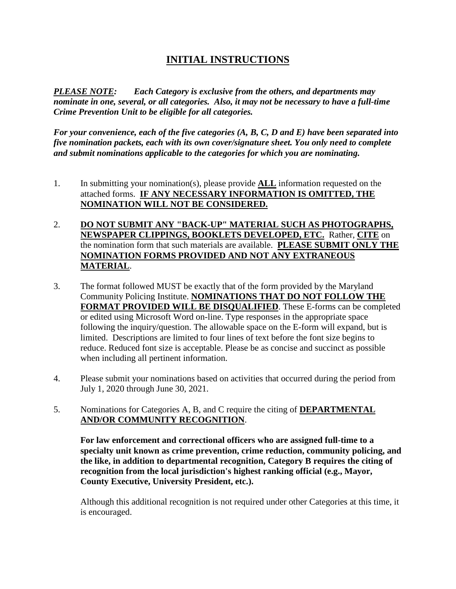# **INITIAL INSTRUCTIONS**

*PLEASE NOTE: Each Category is exclusive from the others, and departments may nominate in one, several, or all categories. Also, it may not be necessary to have a full-time Crime Prevention Unit to be eligible for all categories.*

*For your convenience, each of the five categories (A, B, C, D and E) have been separated into five nomination packets, each with its own cover/signature sheet. You only need to complete and submit nominations applicable to the categories for which you are nominating.*

- 1. In submitting your nomination(s), please provide **ALL** information requested on the attached forms. **IF ANY NECESSARY INFORMATION IS OMITTED, THE NOMINATION WILL NOT BE CONSIDERED.**
- 2. **DO NOT SUBMIT ANY "BACK-UP" MATERIAL SUCH AS PHOTOGRAPHS, NEWSPAPER CLIPPINGS, BOOKLETS DEVELOPED, ETC.** Rather, **CITE** on the nomination form that such materials are available. **PLEASE SUBMIT ONLY THE NOMINATION FORMS PROVIDED AND NOT ANY EXTRANEOUS MATERIAL**.
- 3. The format followed MUST be exactly that of the form provided by the Maryland Community Policing Institute. **NOMINATIONS THAT DO NOT FOLLOW THE FORMAT PROVIDED WILL BE DISQUALIFIED**. These E-forms can be completed or edited using Microsoft Word on-line. Type responses in the appropriate space following the inquiry/question. The allowable space on the E-form will expand, but is limited. Descriptions are limited to four lines of text before the font size begins to reduce. Reduced font size is acceptable. Please be as concise and succinct as possible when including all pertinent information.
- 4. Please submit your nominations based on activities that occurred during the period from July 1, 2020 through June 30, 2021.
- 5. Nominations for Categories A, B, and C require the citing of **DEPARTMENTAL AND/OR COMMUNITY RECOGNITION**.

**For law enforcement and correctional officers who are assigned full-time to a specialty unit known as crime prevention, crime reduction, community policing, and the like, in addition to departmental recognition, Category B requires the citing of recognition from the local jurisdiction's highest ranking official (e.g., Mayor, County Executive, University President, etc.).**

Although this additional recognition is not required under other Categories at this time, it is encouraged.